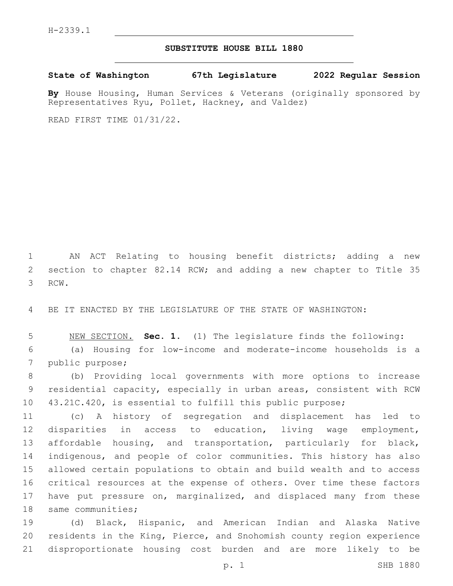## **SUBSTITUTE HOUSE BILL 1880**

**State of Washington 67th Legislature 2022 Regular Session**

**By** House Housing, Human Services & Veterans (originally sponsored by Representatives Ryu, Pollet, Hackney, and Valdez)

READ FIRST TIME 01/31/22.

 AN ACT Relating to housing benefit districts; adding a new section to chapter 82.14 RCW; and adding a new chapter to Title 35 3 RCW.

BE IT ENACTED BY THE LEGISLATURE OF THE STATE OF WASHINGTON:

 NEW SECTION. **Sec. 1.** (1) The legislature finds the following: (a) Housing for low-income and moderate-income households is a 7 public purpose;

 (b) Providing local governments with more options to increase residential capacity, especially in urban areas, consistent with RCW 43.21C.420, is essential to fulfill this public purpose;

 (c) A history of segregation and displacement has led to disparities in access to education, living wage employment, affordable housing, and transportation, particularly for black, indigenous, and people of color communities. This history has also allowed certain populations to obtain and build wealth and to access critical resources at the expense of others. Over time these factors have put pressure on, marginalized, and displaced many from these 18 same communities;

 (d) Black, Hispanic, and American Indian and Alaska Native residents in the King, Pierce, and Snohomish county region experience disproportionate housing cost burden and are more likely to be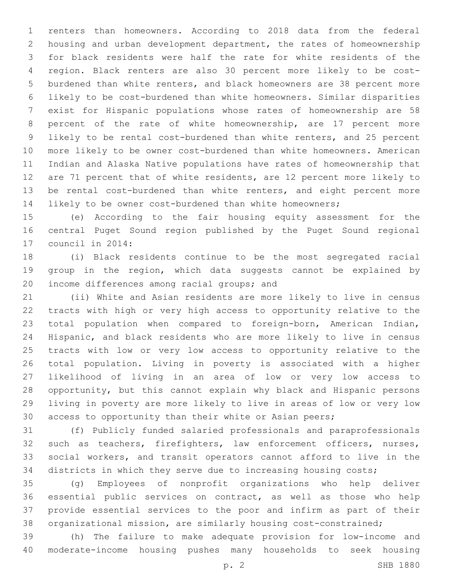renters than homeowners. According to 2018 data from the federal housing and urban development department, the rates of homeownership for black residents were half the rate for white residents of the region. Black renters are also 30 percent more likely to be cost- burdened than white renters, and black homeowners are 38 percent more likely to be cost-burdened than white homeowners. Similar disparities exist for Hispanic populations whose rates of homeownership are 58 percent of the rate of white homeownership, are 17 percent more likely to be rental cost-burdened than white renters, and 25 percent more likely to be owner cost-burdened than white homeowners. American Indian and Alaska Native populations have rates of homeownership that are 71 percent that of white residents, are 12 percent more likely to be rental cost-burdened than white renters, and eight percent more likely to be owner cost-burdened than white homeowners;

 (e) According to the fair housing equity assessment for the central Puget Sound region published by the Puget Sound regional 17 council in 2014:

 (i) Black residents continue to be the most segregated racial group in the region, which data suggests cannot be explained by 20 income differences among racial groups; and

 (ii) White and Asian residents are more likely to live in census tracts with high or very high access to opportunity relative to the total population when compared to foreign-born, American Indian, Hispanic, and black residents who are more likely to live in census tracts with low or very low access to opportunity relative to the total population. Living in poverty is associated with a higher likelihood of living in an area of low or very low access to opportunity, but this cannot explain why black and Hispanic persons living in poverty are more likely to live in areas of low or very low access to opportunity than their white or Asian peers;

 (f) Publicly funded salaried professionals and paraprofessionals such as teachers, firefighters, law enforcement officers, nurses, social workers, and transit operators cannot afford to live in the districts in which they serve due to increasing housing costs;

 (g) Employees of nonprofit organizations who help deliver essential public services on contract, as well as those who help provide essential services to the poor and infirm as part of their organizational mission, are similarly housing cost-constrained;

 (h) The failure to make adequate provision for low-income and moderate-income housing pushes many households to seek housing

p. 2 SHB 1880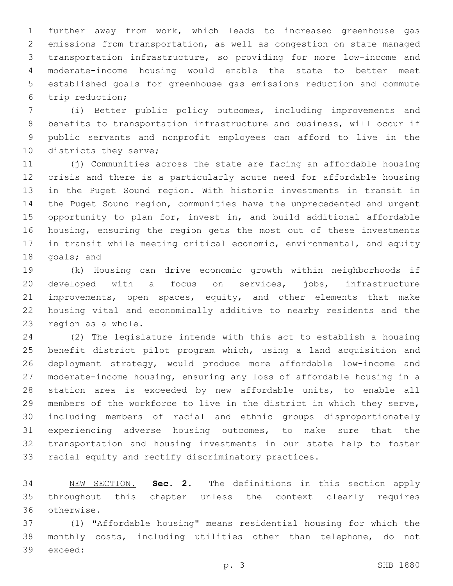further away from work, which leads to increased greenhouse gas emissions from transportation, as well as congestion on state managed transportation infrastructure, so providing for more low-income and moderate-income housing would enable the state to better meet established goals for greenhouse gas emissions reduction and commute trip reduction;6

 (i) Better public policy outcomes, including improvements and benefits to transportation infrastructure and business, will occur if public servants and nonprofit employees can afford to live in the 10 districts they serve;

 (j) Communities across the state are facing an affordable housing crisis and there is a particularly acute need for affordable housing in the Puget Sound region. With historic investments in transit in the Puget Sound region, communities have the unprecedented and urgent opportunity to plan for, invest in, and build additional affordable housing, ensuring the region gets the most out of these investments in transit while meeting critical economic, environmental, and equity 18 goals; and

 (k) Housing can drive economic growth within neighborhoods if developed with a focus on services, jobs, infrastructure 21 improvements, open spaces, equity, and other elements that make housing vital and economically additive to nearby residents and the 23 region as a whole.

 (2) The legislature intends with this act to establish a housing benefit district pilot program which, using a land acquisition and deployment strategy, would produce more affordable low-income and moderate-income housing, ensuring any loss of affordable housing in a station area is exceeded by new affordable units, to enable all members of the workforce to live in the district in which they serve, including members of racial and ethnic groups disproportionately experiencing adverse housing outcomes, to make sure that the transportation and housing investments in our state help to foster racial equity and rectify discriminatory practices.

 NEW SECTION. **Sec. 2.** The definitions in this section apply throughout this chapter unless the context clearly requires otherwise.

 (1) "Affordable housing" means residential housing for which the monthly costs, including utilities other than telephone, do not 39 exceed: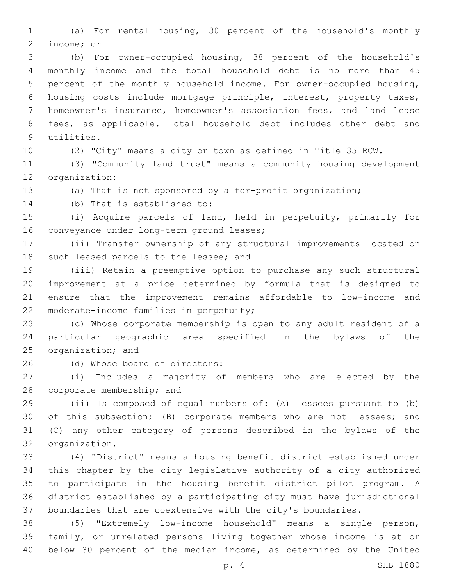(a) For rental housing, 30 percent of the household's monthly 2 income; or

 (b) For owner-occupied housing, 38 percent of the household's monthly income and the total household debt is no more than 45 percent of the monthly household income. For owner-occupied housing, housing costs include mortgage principle, interest, property taxes, homeowner's insurance, homeowner's association fees, and land lease fees, as applicable. Total household debt includes other debt and 9 utilities.

(2) "City" means a city or town as defined in Title 35 RCW.

 (3) "Community land trust" means a community housing development 12 organization:

(a) That is not sponsored by a for-profit organization;

14 (b) That is established to:

 (i) Acquire parcels of land, held in perpetuity, primarily for 16 conveyance under long-term ground leases;

 (ii) Transfer ownership of any structural improvements located on 18 such leased parcels to the lessee; and

 (iii) Retain a preemptive option to purchase any such structural improvement at a price determined by formula that is designed to ensure that the improvement remains affordable to low-income and 22 moderate-income families in perpetuity;

 (c) Whose corporate membership is open to any adult resident of a particular geographic area specified in the bylaws of the 25 organization; and

(d) Whose board of directors:26

 (i) Includes a majority of members who are elected by the 28 corporate membership; and

 (ii) Is composed of equal numbers of: (A) Lessees pursuant to (b) of this subsection; (B) corporate members who are not lessees; and (C) any other category of persons described in the bylaws of the 32 organization.

 (4) "District" means a housing benefit district established under this chapter by the city legislative authority of a city authorized to participate in the housing benefit district pilot program. A district established by a participating city must have jurisdictional boundaries that are coextensive with the city's boundaries.

 (5) "Extremely low-income household" means a single person, family, or unrelated persons living together whose income is at or below 30 percent of the median income, as determined by the United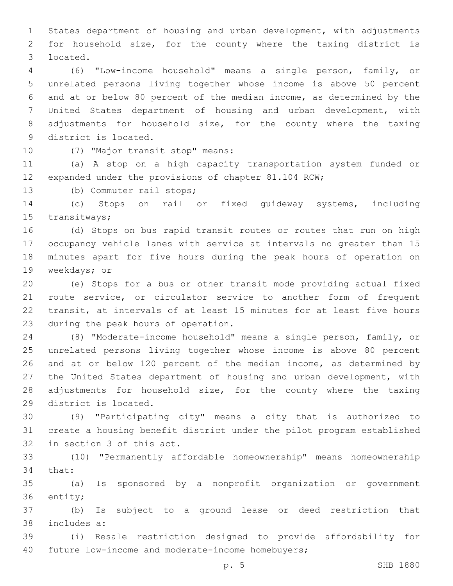States department of housing and urban development, with adjustments for household size, for the county where the taxing district is located.3

 (6) "Low-income household" means a single person, family, or unrelated persons living together whose income is above 50 percent and at or below 80 percent of the median income, as determined by the United States department of housing and urban development, with adjustments for household size, for the county where the taxing 9 district is located.

10 (7) "Major transit stop" means:

 (a) A stop on a high capacity transportation system funded or expanded under the provisions of chapter 81.104 RCW;

13 (b) Commuter rail stops;

 (c) Stops on rail or fixed guideway systems, including 15 transitways;

 (d) Stops on bus rapid transit routes or routes that run on high occupancy vehicle lanes with service at intervals no greater than 15 minutes apart for five hours during the peak hours of operation on 19 weekdays; or

 (e) Stops for a bus or other transit mode providing actual fixed route service, or circulator service to another form of frequent transit, at intervals of at least 15 minutes for at least five hours 23 during the peak hours of operation.

 (8) "Moderate-income household" means a single person, family, or unrelated persons living together whose income is above 80 percent and at or below 120 percent of the median income, as determined by the United States department of housing and urban development, with adjustments for household size, for the county where the taxing 29 district is located.

 (9) "Participating city" means a city that is authorized to create a housing benefit district under the pilot program established 32 in section 3 of this act.

 (10) "Permanently affordable homeownership" means homeownership 34 that:

 (a) Is sponsored by a nonprofit organization or government 36 entity;

 (b) Is subject to a ground lease or deed restriction that 38 includes a:

 (i) Resale restriction designed to provide affordability for 40 future low-income and moderate-income homebuyers;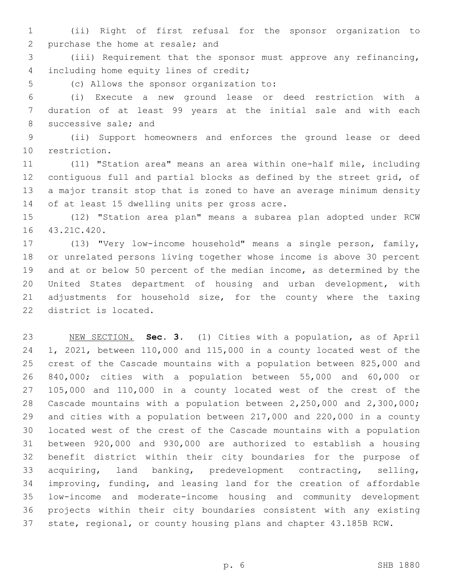(ii) Right of first refusal for the sponsor organization to 2 purchase the home at resale; and

 (iii) Requirement that the sponsor must approve any refinancing, 4 including home equity lines of credit;

5 (c) Allows the sponsor organization to:

 (i) Execute a new ground lease or deed restriction with a duration of at least 99 years at the initial sale and with each 8 successive sale; and

 (ii) Support homeowners and enforces the ground lease or deed 10 restriction.

 (11) "Station area" means an area within one-half mile, including contiguous full and partial blocks as defined by the street grid, of a major transit stop that is zoned to have an average minimum density 14 of at least 15 dwelling units per gross acre.

 (12) "Station area plan" means a subarea plan adopted under RCW 16 43.21C.420.

 (13) "Very low-income household" means a single person, family, or unrelated persons living together whose income is above 30 percent and at or below 50 percent of the median income, as determined by the United States department of housing and urban development, with 21 adjustments for household size, for the county where the taxing 22 district is located.

 NEW SECTION. **Sec. 3.** (1) Cities with a population, as of April 1, 2021, between 110,000 and 115,000 in a county located west of the crest of the Cascade mountains with a population between 825,000 and 840,000; cities with a population between 55,000 and 60,000 or 105,000 and 110,000 in a county located west of the crest of the Cascade mountains with a population between 2,250,000 and 2,300,000; and cities with a population between 217,000 and 220,000 in a county located west of the crest of the Cascade mountains with a population between 920,000 and 930,000 are authorized to establish a housing benefit district within their city boundaries for the purpose of acquiring, land banking, predevelopment contracting, selling, improving, funding, and leasing land for the creation of affordable low-income and moderate-income housing and community development projects within their city boundaries consistent with any existing state, regional, or county housing plans and chapter 43.185B RCW.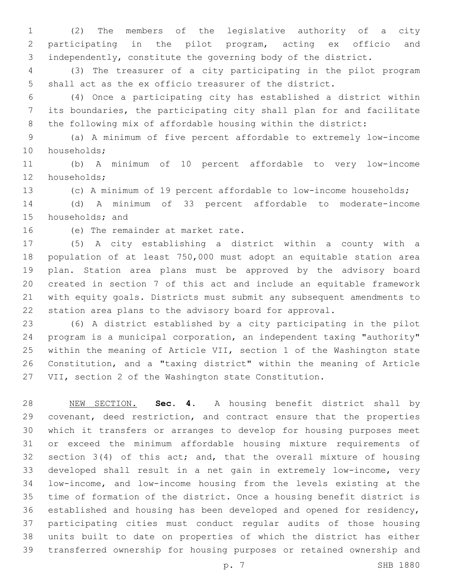(2) The members of the legislative authority of a city participating in the pilot program, acting ex officio and independently, constitute the governing body of the district.

 (3) The treasurer of a city participating in the pilot program shall act as the ex officio treasurer of the district.

 (4) Once a participating city has established a district within its boundaries, the participating city shall plan for and facilitate the following mix of affordable housing within the district:

 (a) A minimum of five percent affordable to extremely low-income 10 households;

 (b) A minimum of 10 percent affordable to very low-income 12 households;

(c) A minimum of 19 percent affordable to low-income households;

 (d) A minimum of 33 percent affordable to moderate-income 15 households; and

16 (e) The remainder at market rate.

 (5) A city establishing a district within a county with a population of at least 750,000 must adopt an equitable station area plan. Station area plans must be approved by the advisory board created in section 7 of this act and include an equitable framework with equity goals. Districts must submit any subsequent amendments to station area plans to the advisory board for approval.

 (6) A district established by a city participating in the pilot program is a municipal corporation, an independent taxing "authority" within the meaning of Article VII, section 1 of the Washington state Constitution, and a "taxing district" within the meaning of Article VII, section 2 of the Washington state Constitution.

 NEW SECTION. **Sec. 4.** A housing benefit district shall by covenant, deed restriction, and contract ensure that the properties which it transfers or arranges to develop for housing purposes meet or exceed the minimum affordable housing mixture requirements of section 3(4) of this act; and, that the overall mixture of housing developed shall result in a net gain in extremely low-income, very low-income, and low-income housing from the levels existing at the time of formation of the district. Once a housing benefit district is established and housing has been developed and opened for residency, participating cities must conduct regular audits of those housing units built to date on properties of which the district has either transferred ownership for housing purposes or retained ownership and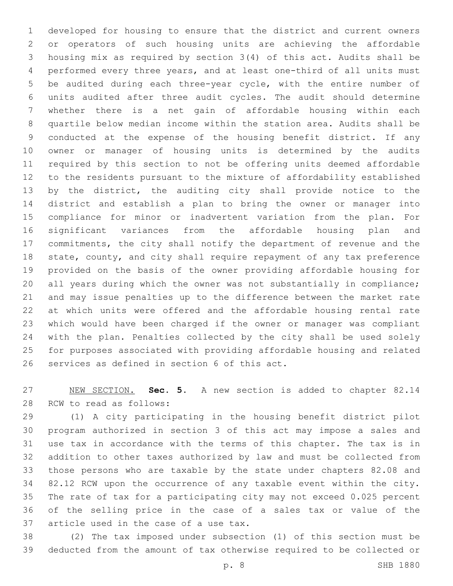developed for housing to ensure that the district and current owners or operators of such housing units are achieving the affordable housing mix as required by section 3(4) of this act. Audits shall be performed every three years, and at least one-third of all units must be audited during each three-year cycle, with the entire number of units audited after three audit cycles. The audit should determine whether there is a net gain of affordable housing within each quartile below median income within the station area. Audits shall be conducted at the expense of the housing benefit district. If any owner or manager of housing units is determined by the audits required by this section to not be offering units deemed affordable to the residents pursuant to the mixture of affordability established by the district, the auditing city shall provide notice to the district and establish a plan to bring the owner or manager into compliance for minor or inadvertent variation from the plan. For significant variances from the affordable housing plan and commitments, the city shall notify the department of revenue and the state, county, and city shall require repayment of any tax preference provided on the basis of the owner providing affordable housing for 20 all years during which the owner was not substantially in compliance; and may issue penalties up to the difference between the market rate at which units were offered and the affordable housing rental rate which would have been charged if the owner or manager was compliant with the plan. Penalties collected by the city shall be used solely for purposes associated with providing affordable housing and related 26 services as defined in section 6 of this act.

 NEW SECTION. **Sec. 5.** A new section is added to chapter 82.14 28 RCW to read as follows:

 (1) A city participating in the housing benefit district pilot program authorized in section 3 of this act may impose a sales and use tax in accordance with the terms of this chapter. The tax is in addition to other taxes authorized by law and must be collected from those persons who are taxable by the state under chapters 82.08 and 82.12 RCW upon the occurrence of any taxable event within the city. The rate of tax for a participating city may not exceed 0.025 percent of the selling price in the case of a sales tax or value of the 37 article used in the case of a use tax.

 (2) The tax imposed under subsection (1) of this section must be deducted from the amount of tax otherwise required to be collected or

p. 8 SHB 1880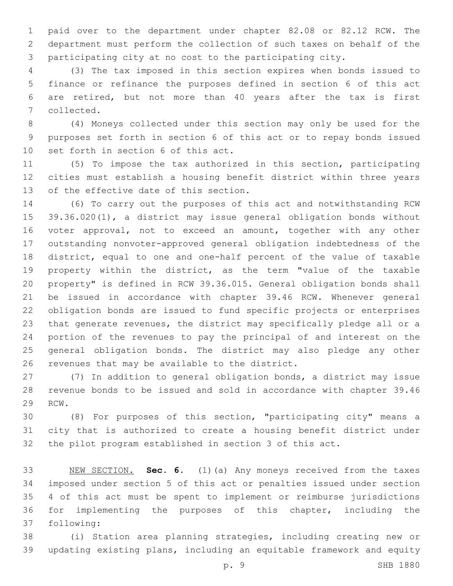paid over to the department under chapter 82.08 or 82.12 RCW. The department must perform the collection of such taxes on behalf of the participating city at no cost to the participating city.

 (3) The tax imposed in this section expires when bonds issued to finance or refinance the purposes defined in section 6 of this act are retired, but not more than 40 years after the tax is first 7 collected.

 (4) Moneys collected under this section may only be used for the purposes set forth in section 6 of this act or to repay bonds issued 10 set forth in section 6 of this act.

 (5) To impose the tax authorized in this section, participating cities must establish a housing benefit district within three years 13 of the effective date of this section.

 (6) To carry out the purposes of this act and notwithstanding RCW 39.36.020(1), a district may issue general obligation bonds without voter approval, not to exceed an amount, together with any other outstanding nonvoter-approved general obligation indebtedness of the district, equal to one and one-half percent of the value of taxable property within the district, as the term "value of the taxable property" is defined in RCW 39.36.015. General obligation bonds shall be issued in accordance with chapter 39.46 RCW. Whenever general obligation bonds are issued to fund specific projects or enterprises that generate revenues, the district may specifically pledge all or a portion of the revenues to pay the principal of and interest on the general obligation bonds. The district may also pledge any other 26 revenues that may be available to the district.

 (7) In addition to general obligation bonds, a district may issue revenue bonds to be issued and sold in accordance with chapter 39.46 29 RCW.

 (8) For purposes of this section, "participating city" means a city that is authorized to create a housing benefit district under the pilot program established in section 3 of this act.

 NEW SECTION. **Sec. 6.** (1)(a) Any moneys received from the taxes imposed under section 5 of this act or penalties issued under section 4 of this act must be spent to implement or reimburse jurisdictions for implementing the purposes of this chapter, including the following:

 (i) Station area planning strategies, including creating new or updating existing plans, including an equitable framework and equity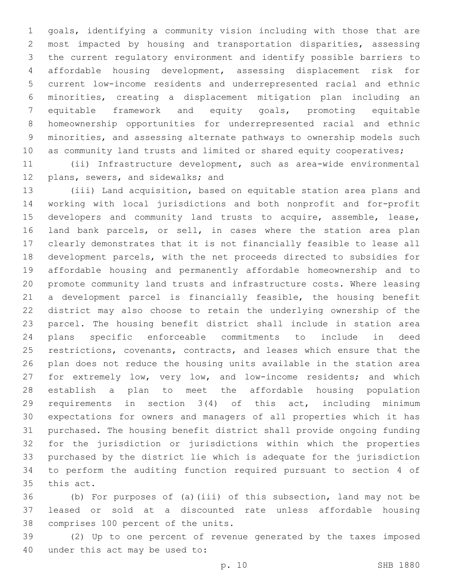goals, identifying a community vision including with those that are most impacted by housing and transportation disparities, assessing the current regulatory environment and identify possible barriers to affordable housing development, assessing displacement risk for current low-income residents and underrepresented racial and ethnic minorities, creating a displacement mitigation plan including an equitable framework and equity goals, promoting equitable homeownership opportunities for underrepresented racial and ethnic minorities, and assessing alternate pathways to ownership models such 10 as community land trusts and limited or shared equity cooperatives;

 (ii) Infrastructure development, such as area-wide environmental 12 plans, sewers, and sidewalks; and

 (iii) Land acquisition, based on equitable station area plans and working with local jurisdictions and both nonprofit and for-profit developers and community land trusts to acquire, assemble, lease, land bank parcels, or sell, in cases where the station area plan clearly demonstrates that it is not financially feasible to lease all development parcels, with the net proceeds directed to subsidies for affordable housing and permanently affordable homeownership and to promote community land trusts and infrastructure costs. Where leasing a development parcel is financially feasible, the housing benefit district may also choose to retain the underlying ownership of the parcel. The housing benefit district shall include in station area plans specific enforceable commitments to include in deed restrictions, covenants, contracts, and leases which ensure that the plan does not reduce the housing units available in the station area for extremely low, very low, and low-income residents; and which establish a plan to meet the affordable housing population requirements in section 3(4) of this act, including minimum expectations for owners and managers of all properties which it has purchased. The housing benefit district shall provide ongoing funding for the jurisdiction or jurisdictions within which the properties purchased by the district lie which is adequate for the jurisdiction to perform the auditing function required pursuant to section 4 of 35 this act.

 (b) For purposes of (a)(iii) of this subsection, land may not be leased or sold at a discounted rate unless affordable housing 38 comprises 100 percent of the units.

 (2) Up to one percent of revenue generated by the taxes imposed 40 under this act may be used to: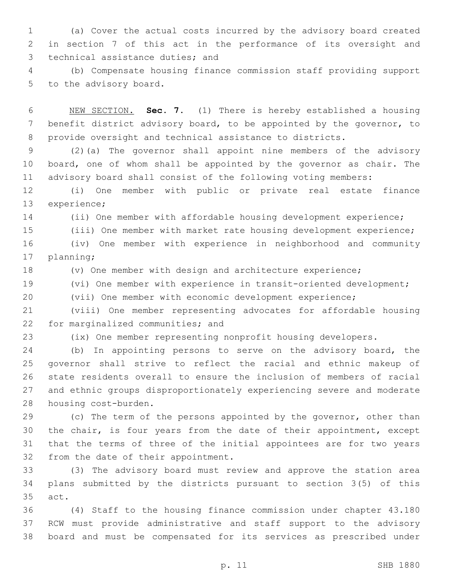(a) Cover the actual costs incurred by the advisory board created in section 7 of this act in the performance of its oversight and 3 technical assistance duties; and

 (b) Compensate housing finance commission staff providing support 5 to the advisory board.

 NEW SECTION. **Sec. 7.** (1) There is hereby established a housing benefit district advisory board, to be appointed by the governor, to provide oversight and technical assistance to districts.

 (2)(a) The governor shall appoint nine members of the advisory board, one of whom shall be appointed by the governor as chair. The advisory board shall consist of the following voting members:

 (i) One member with public or private real estate finance 13 experience;

(ii) One member with affordable housing development experience;

(iii) One member with market rate housing development experience;

 (iv) One member with experience in neighborhood and community 17 planning;

(v) One member with design and architecture experience;

(vi) One member with experience in transit-oriented development;

(vii) One member with economic development experience;

 (viii) One member representing advocates for affordable housing 22 for marginalized communities; and

(ix) One member representing nonprofit housing developers.

 (b) In appointing persons to serve on the advisory board, the governor shall strive to reflect the racial and ethnic makeup of state residents overall to ensure the inclusion of members of racial and ethnic groups disproportionately experiencing severe and moderate 28 housing cost-burden.

29 (c) The term of the persons appointed by the governor, other than the chair, is four years from the date of their appointment, except that the terms of three of the initial appointees are for two years 32 from the date of their appointment.

 (3) The advisory board must review and approve the station area plans submitted by the districts pursuant to section 3(5) of this 35 act.

 (4) Staff to the housing finance commission under chapter 43.180 RCW must provide administrative and staff support to the advisory board and must be compensated for its services as prescribed under